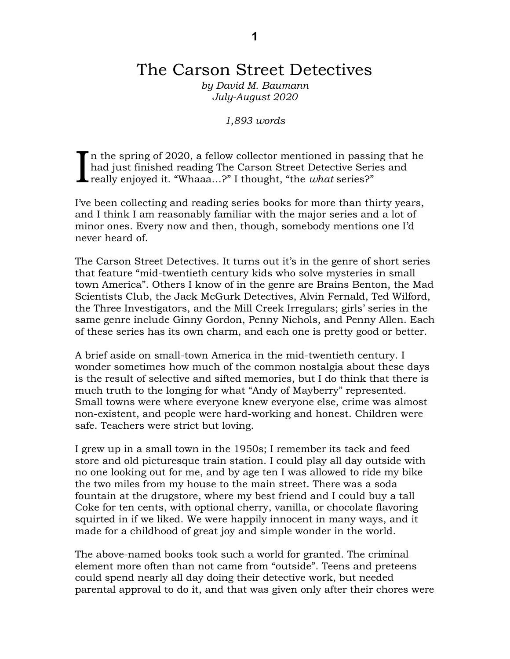# The Carson Street Detectives

*by David M. Baumann July-August 2020*

*1,893 words*

If it the spring of 2020, a fellow collector mentioned in passing that he had just finished reading The Carson Street Detective Series and really enjoyed it. "Whaaa…?" I thought, "the *what* series?" I

I've been collecting and reading series books for more than thirty years, and I think I am reasonably familiar with the major series and a lot of minor ones. Every now and then, though, somebody mentions one I'd never heard of.

The Carson Street Detectives. It turns out it's in the genre of short series that feature "mid-twentieth century kids who solve mysteries in small town America". Others I know of in the genre are Brains Benton, the Mad Scientists Club, the Jack McGurk Detectives, Alvin Fernald, Ted Wilford, the Three Investigators, and the Mill Creek Irregulars; girls' series in the same genre include Ginny Gordon, Penny Nichols, and Penny Allen. Each of these series has its own charm, and each one is pretty good or better.

A brief aside on small-town America in the mid-twentieth century. I wonder sometimes how much of the common nostalgia about these days is the result of selective and sifted memories, but I do think that there is much truth to the longing for what "Andy of Mayberry" represented. Small towns were where everyone knew everyone else, crime was almost non-existent, and people were hard-working and honest. Children were safe. Teachers were strict but loving.

I grew up in a small town in the 1950s; I remember its tack and feed store and old picturesque train station. I could play all day outside with no one looking out for me, and by age ten I was allowed to ride my bike the two miles from my house to the main street. There was a soda fountain at the drugstore, where my best friend and I could buy a tall Coke for ten cents, with optional cherry, vanilla, or chocolate flavoring squirted in if we liked. We were happily innocent in many ways, and it made for a childhood of great joy and simple wonder in the world.

The above-named books took such a world for granted. The criminal element more often than not came from "outside". Teens and preteens could spend nearly all day doing their detective work, but needed parental approval to do it, and that was given only after their chores were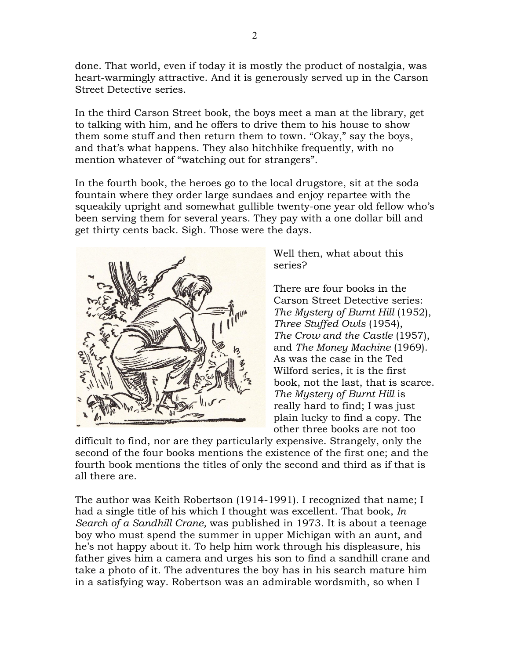done. That world, even if today it is mostly the product of nostalgia, was heart-warmingly attractive. And it is generously served up in the Carson Street Detective series.

In the third Carson Street book, the boys meet a man at the library, get to talking with him, and he offers to drive them to his house to show them some stuff and then return them to town. "Okay," say the boys, and that's what happens. They also hitchhike frequently, with no mention whatever of "watching out for strangers".

In the fourth book, the heroes go to the local drugstore, sit at the soda fountain where they order large sundaes and enjoy repartee with the squeakily upright and somewhat gullible twenty-one year old fellow who's been serving them for several years. They pay with a one dollar bill and get thirty cents back. Sigh. Those were the days.



Well then, what about this series?

There are four books in the Carson Street Detective series: *The Mystery of Burnt Hill* (1952), *Three Stuffed Owls* (1954), *The Crow and the Castle* (1957), and *The Money Machine* (1969). As was the case in the Ted Wilford series, it is the first book, not the last, that is scarce. *The Mystery of Burnt Hill* is really hard to find; I was just plain lucky to find a copy. The other three books are not too

difficult to find, nor are they particularly expensive. Strangely, only the second of the four books mentions the existence of the first one; and the fourth book mentions the titles of only the second and third as if that is all there are.

The author was Keith Robertson (1914-1991). I recognized that name; I had a single title of his which I thought was excellent. That book, *In Search of a Sandhill Crane,* was published in 1973. It is about a teenage boy who must spend the summer in upper Michigan with an aunt, and he's not happy about it. To help him work through his displeasure, his father gives him a camera and urges his son to find a sandhill crane and take a photo of it. The adventures the boy has in his search mature him in a satisfying way. Robertson was an admirable wordsmith, so when I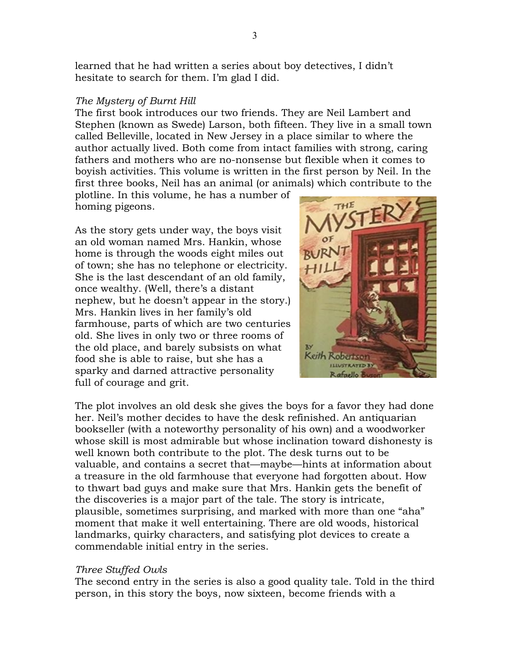learned that he had written a series about boy detectives, I didn't hesitate to search for them. I'm glad I did.

#### *The Mystery of Burnt Hill*

The first book introduces our two friends. They are Neil Lambert and Stephen (known as Swede) Larson, both fifteen. They live in a small town called Belleville, located in New Jersey in a place similar to where the author actually lived. Both come from intact families with strong, caring fathers and mothers who are no-nonsense but flexible when it comes to boyish activities. This volume is written in the first person by Neil. In the first three books, Neil has an animal (or animals) which contribute to the

plotline. In this volume, he has a number of homing pigeons.

As the story gets under way, the boys visit an old woman named Mrs. Hankin, whose home is through the woods eight miles out of town; she has no telephone or electricity. She is the last descendant of an old family, once wealthy. (Well, there's a distant nephew, but he doesn't appear in the story.) Mrs. Hankin lives in her family's old farmhouse, parts of which are two centuries old. She lives in only two or three rooms of the old place, and barely subsists on what food she is able to raise, but she has a sparky and darned attractive personality full of courage and grit.



The plot involves an old desk she gives the boys for a favor they had done her. Neil's mother decides to have the desk refinished. An antiquarian bookseller (with a noteworthy personality of his own) and a woodworker whose skill is most admirable but whose inclination toward dishonesty is well known both contribute to the plot. The desk turns out to be valuable, and contains a secret that—maybe—hints at information about a treasure in the old farmhouse that everyone had forgotten about. How to thwart bad guys and make sure that Mrs. Hankin gets the benefit of the discoveries is a major part of the tale. The story is intricate, plausible, sometimes surprising, and marked with more than one "aha" moment that make it well entertaining. There are old woods, historical landmarks, quirky characters, and satisfying plot devices to create a commendable initial entry in the series.

#### *Three Stuffed Owls*

The second entry in the series is also a good quality tale. Told in the third person, in this story the boys, now sixteen, become friends with a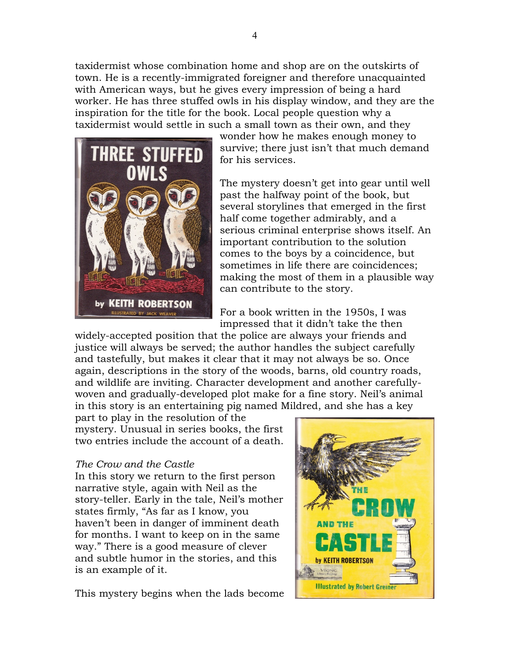taxidermist whose combination home and shop are on the outskirts of town. He is a recently-immigrated foreigner and therefore unacquainted with American ways, but he gives every impression of being a hard worker. He has three stuffed owls in his display window, and they are the inspiration for the title for the book. Local people question why a taxidermist would settle in such a small town as their own, and they



wonder how he makes enough money to survive; there just isn't that much demand for his services.

The mystery doesn't get into gear until well past the halfway point of the book, but several storylines that emerged in the first half come together admirably, and a serious criminal enterprise shows itself. An important contribution to the solution comes to the boys by a coincidence, but sometimes in life there are coincidences; making the most of them in a plausible way can contribute to the story.

For a book written in the 1950s, I was impressed that it didn't take the then

widely-accepted position that the police are always your friends and justice will always be served; the author handles the subject carefully and tastefully, but makes it clear that it may not always be so. Once again, descriptions in the story of the woods, barns, old country roads, and wildlife are inviting. Character development and another carefullywoven and gradually-developed plot make for a fine story. Neil's animal in this story is an entertaining pig named Mildred, and she has a key

part to play in the resolution of the mystery. Unusual in series books, the first two entries include the account of a death.

## *The Crow and the Castle*

In this story we return to the first person narrative style, again with Neil as the story-teller. Early in the tale, Neil's mother states firmly, "As far as I know, you haven't been in danger of imminent death for months. I want to keep on in the same way." There is a good measure of clever and subtle humor in the stories, and this is an example of it.

This mystery begins when the lads become

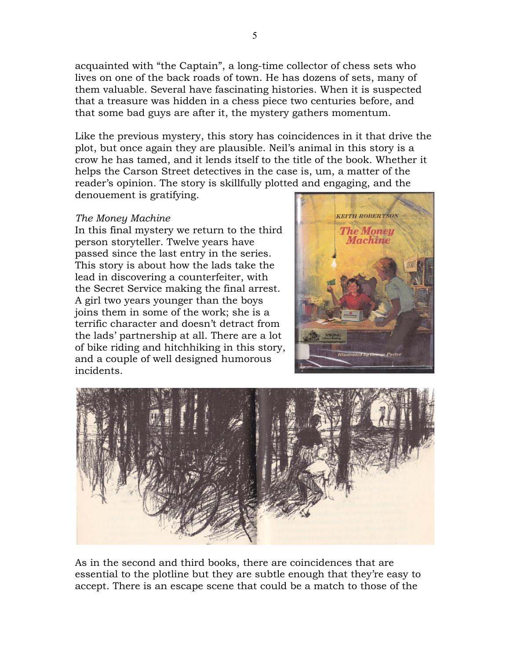acquainted with "the Captain", a long-time collector of chess sets who lives on one of the back roads of town. He has dozens of sets, many of them valuable. Several have fascinating histories. When it is suspected that a treasure was hidden in a chess piece two centuries before, and that some bad guys are after it, the mystery gathers momentum.

Like the previous mystery, this story has coincidences in it that drive the plot, but once again they are plausible. Neil's animal in this story is a crow he has tamed, and it lends itself to the title of the book. Whether it helps the Carson Street detectives in the case is, um, a matter of the reader's opinion. The story is skillfully plotted and engaging, and the denouement is gratifying.

### *The Money Machine*

In this final mystery we return to the third person storyteller. Twelve years have passed since the last entry in the series. This story is about how the lads take the lead in discovering a counterfeiter, with the Secret Service making the final arrest. A girl two years younger than the boys joins them in some of the work; she is a terrific character and doesn't detract from the lads' partnership at all. There are a lot of bike riding and hitchhiking in this story, and a couple of well designed humorous incidents.





As in the second and third books, there are coincidences that are essential to the plotline but they are subtle enough that they're easy to accept. There is an escape scene that could be a match to those of the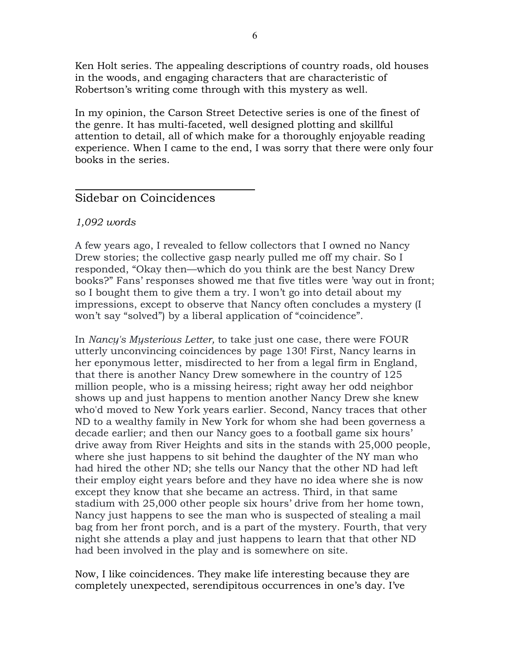Ken Holt series. The appealing descriptions of country roads, old houses in the woods, and engaging characters that are characteristic of Robertson's writing come through with this mystery as well.

In my opinion, the Carson Street Detective series is one of the finest of the genre. It has multi-faceted, well designed plotting and skillful attention to detail, all of which make for a thoroughly enjoyable reading experience. When I came to the end, I was sorry that there were only four books in the series.

## Sidebar on Coincidences

### *1,092 words*

A few years ago, I revealed to fellow collectors that I owned no Nancy Drew stories; the collective gasp nearly pulled me off my chair. So I responded, "Okay then—which do you think are the best Nancy Drew books?" Fans' responses showed me that five titles were 'way out in front; so I bought them to give them a try. I won't go into detail about my impressions, except to observe that Nancy often concludes a mystery (I won't say "solved") by a liberal application of "coincidence".

In *Nancy's Mysterious Letter,* to take just one case, there were FOUR utterly unconvincing coincidences by page 130! First, Nancy learns in her eponymous letter, misdirected to her from a legal firm in England, that there is another Nancy Drew somewhere in the country of 125 million people, who is a missing heiress; right away her odd neighbor shows up and just happens to mention another Nancy Drew she knew who'd moved to New York years earlier. Second, Nancy traces that other ND to a wealthy family in New York for whom she had been governess a decade earlier; and then our Nancy goes to a football game six hours' drive away from River Heights and sits in the stands with 25,000 people, where she just happens to sit behind the daughter of the NY man who had hired the other ND; she tells our Nancy that the other ND had left their employ eight years before and they have no idea where she is now except they know that she became an actress. Third, in that same stadium with 25,000 other people six hours' drive from her home town, Nancy just happens to see the man who is suspected of stealing a mail bag from her front porch, and is a part of the mystery. Fourth, that very night she attends a play and just happens to learn that that other ND had been involved in the play and is somewhere on site.

Now, I like coincidences. They make life interesting because they are completely unexpected, serendipitous occurrences in one's day. I've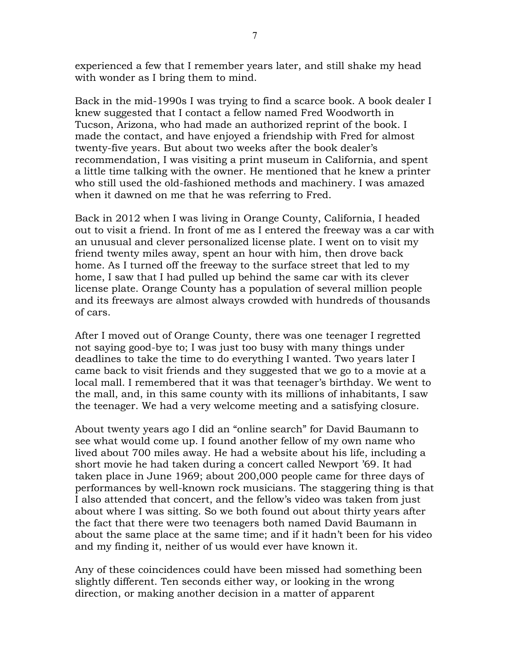experienced a few that I remember years later, and still shake my head with wonder as I bring them to mind.

Back in the mid-1990s I was trying to find a scarce book. A book dealer I knew suggested that I contact a fellow named Fred Woodworth in Tucson, Arizona, who had made an authorized reprint of the book. I made the contact, and have enjoyed a friendship with Fred for almost twenty-five years. But about two weeks after the book dealer's recommendation, I was visiting a print museum in California, and spent a little time talking with the owner. He mentioned that he knew a printer who still used the old-fashioned methods and machinery. I was amazed when it dawned on me that he was referring to Fred.

Back in 2012 when I was living in Orange County, California, I headed out to visit a friend. In front of me as I entered the freeway was a car with an unusual and clever personalized license plate. I went on to visit my friend twenty miles away, spent an hour with him, then drove back home. As I turned off the freeway to the surface street that led to my home, I saw that I had pulled up behind the same car with its clever license plate. Orange County has a population of several million people and its freeways are almost always crowded with hundreds of thousands of cars.

After I moved out of Orange County, there was one teenager I regretted not saying good-bye to; I was just too busy with many things under deadlines to take the time to do everything I wanted. Two years later I came back to visit friends and they suggested that we go to a movie at a local mall. I remembered that it was that teenager's birthday. We went to the mall, and, in this same county with its millions of inhabitants, I saw the teenager. We had a very welcome meeting and a satisfying closure.

About twenty years ago I did an "online search" for David Baumann to see what would come up. I found another fellow of my own name who lived about 700 miles away. He had a website about his life, including a short movie he had taken during a concert called Newport '69. It had taken place in June 1969; about 200,000 people came for three days of performances by well-known rock musicians. The staggering thing is that I also attended that concert, and the fellow's video was taken from just about where I was sitting. So we both found out about thirty years after the fact that there were two teenagers both named David Baumann in about the same place at the same time; and if it hadn't been for his video and my finding it, neither of us would ever have known it.

Any of these coincidences could have been missed had something been slightly different. Ten seconds either way, or looking in the wrong direction, or making another decision in a matter of apparent